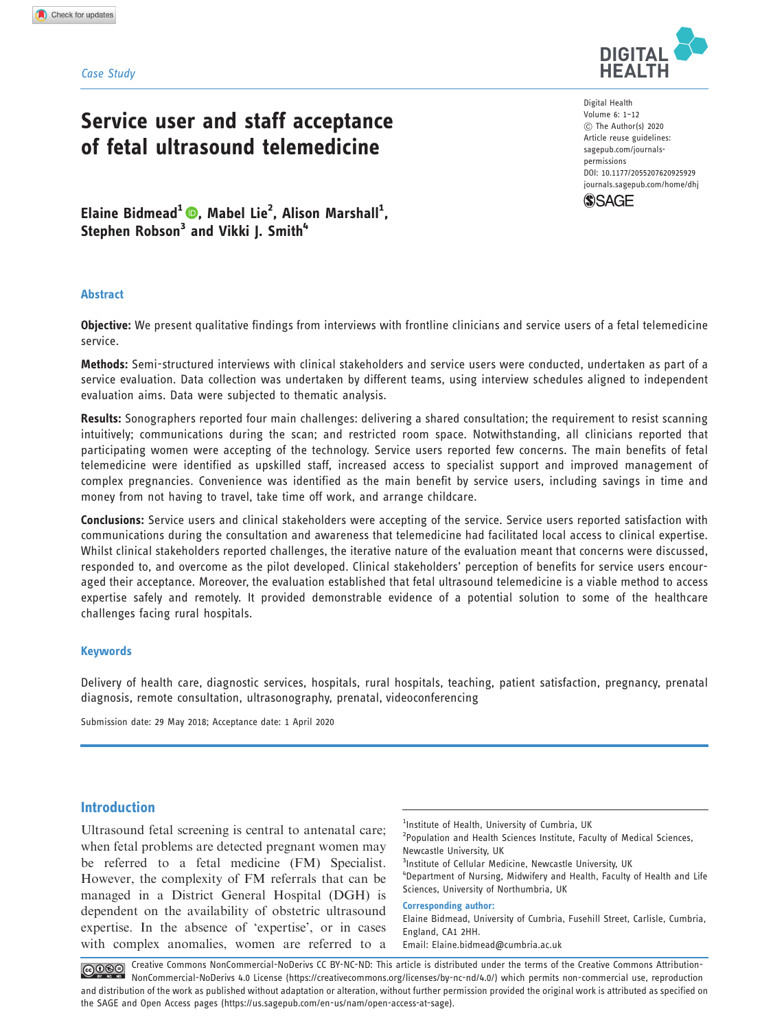#### Case Study

# Service user and staff acceptance of fetal ultrasound telemedicine

Digital Health Volume 6: 1–12 C The Author(s) 2020 Article reuse guidelines: [sagepub.com/journals](http://uk.sagepub.com/en-gb/journals-permissions)[permissions](http://uk.sagepub.com/en-gb/journals-permissions) [DOI: 10.1177/2055207620925929](http://dx.doi.org/10.1177/2055207620925929) <journals.sagepub.com/home/dhj>



Elaine Bidmead<sup>1</sup> (D[,](https://orcid.org/0000-0003-0166-4506) Mabel Lie<sup>2</sup>, Alison Marshall<sup>1</sup>, Stephen Robson<sup>3</sup> and Vikki J. Smith<sup>4</sup>

#### Abstract

Objective: We present qualitative findings from interviews with frontline clinicians and service users of a fetal telemedicine service.

Methods: Semi-structured interviews with clinical stakeholders and service users were conducted, undertaken as part of a service evaluation. Data collection was undertaken by different teams, using interview schedules aligned to independent evaluation aims. Data were subjected to thematic analysis.

Results: Sonographers reported four main challenges: delivering a shared consultation; the requirement to resist scanning intuitively; communications during the scan; and restricted room space. Notwithstanding, all clinicians reported that participating women were accepting of the technology. Service users reported few concerns. The main benefits of fetal telemedicine were identified as upskilled staff, increased access to specialist support and improved management of complex pregnancies. Convenience was identified as the main benefit by service users, including savings in time and money from not having to travel, take time off work, and arrange childcare.

Conclusions: Service users and clinical stakeholders were accepting of the service. Service users reported satisfaction with communications during the consultation and awareness that telemedicine had facilitated local access to clinical expertise. Whilst clinical stakeholders reported challenges, the iterative nature of the evaluation meant that concerns were discussed, responded to, and overcome as the pilot developed. Clinical stakeholders' perception of benefits for service users encouraged their acceptance. Moreover, the evaluation established that fetal ultrasound telemedicine is a viable method to access expertise safely and remotely. It provided demonstrable evidence of a potential solution to some of the healthcare challenges facing rural hospitals.

#### **Keywords**

Delivery of health care, diagnostic services, hospitals, rural hospitals, teaching, patient satisfaction, pregnancy, prenatal diagnosis, remote consultation, ultrasonography, prenatal, videoconferencing

Submission date: 29 May 2018; Acceptance date: 1 April 2020

## Introduction

Ultrasound fetal screening is central to antenatal care; when fetal problems are detected pregnant women may be referred to a fetal medicine (FM) Specialist. However, the complexity of FM referrals that can be managed in a District General Hospital (DGH) is dependent on the availability of obstetric ultrasound expertise. In the absence of 'expertise', or in cases with complex anomalies, women are referred to a

<sup>1</sup>Institute of Health, University of Cumbria, UK <sup>2</sup> Population and Health Sciences Institute, Faculty of Medical Sciences, Newcastle University, UK <sup>3</sup>Institute of Cellular Medicine, Newcastle University, UK 4 Department of Nursing, Midwifery and Health, Faculty of Health and Life Sciences, University of Northumbria, UK Corresponding author: Elaine Bidmead, University of Cumbria, Fusehill Street, Carlisle, Cumbria,

England, CA1 2HH.

Email: [Elaine.bidmead@cumbria.ac.uk](mailto:Elaine.bidmead@cumbria.ac.uk)

Creative Commons NonCommercial-NoDerivs CC BY-NC-ND: This article is distributed under the terms of the Creative Commons Attribution- $\bigcirc$ NonCommercial-NoDerivs 4.0 License (https://creativecommons.org/licenses/by-nc-nd/4.0/) which permits non-commercial use, reproduction and distribution of the work as published without adaptation or alteration, without further permission provided the original work is attributed as specified on the SAGE and Open Access pages (https://us.sagepub.com/en-us/nam/open-access-at-sage).

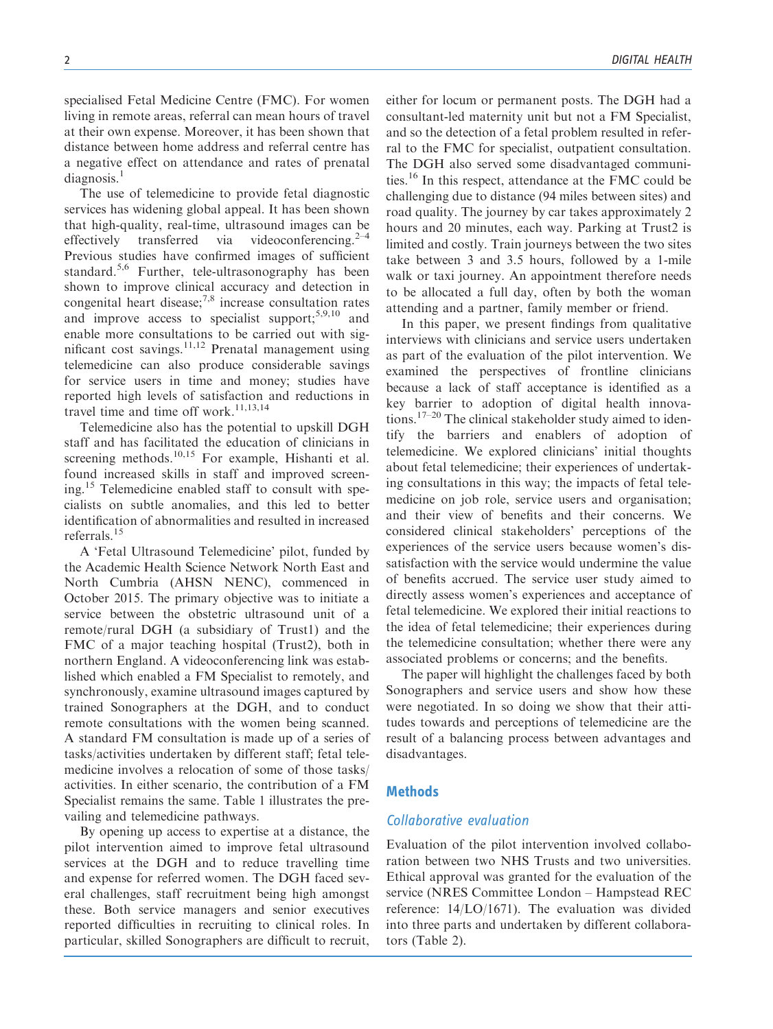specialised Fetal Medicine Centre (FMC). For women living in remote areas, referral can mean hours of travel at their own expense. Moreover, it has been shown that distance between home address and referral centre has a negative effect on attendance and rates of prenatal  $diagonosis.<sup>1</sup>$ 

The use of telemedicine to provide fetal diagnostic services has widening global appeal. It has been shown that high-quality, real-time, ultrasound images can be effectively transferred via videoconferencing.<sup>2-4</sup> effectively transferred via Previous studies have confirmed images of sufficient standard.<sup>5,6</sup> Further, tele-ultrasonography has been shown to improve clinical accuracy and detection in congenital heart disease; $^{7,8}$  increase consultation rates and improve access to specialist support;  $5,9,10$  and enable more consultations to be carried out with significant cost savings.<sup>11,12</sup> Prenatal management using telemedicine can also produce considerable savings for service users in time and money; studies have reported high levels of satisfaction and reductions in travel time and time off work. $11,13,14$ 

Telemedicine also has the potential to upskill DGH staff and has facilitated the education of clinicians in screening methods.<sup>10,15</sup> For example, Hishanti et al. found increased skills in staff and improved screening.<sup>15</sup> Telemedicine enabled staff to consult with specialists on subtle anomalies, and this led to better identification of abnormalities and resulted in increased referrals.<sup>15</sup>

A 'Fetal Ultrasound Telemedicine' pilot, funded by the Academic Health Science Network North East and North Cumbria (AHSN NENC), commenced in October 2015. The primary objective was to initiate a service between the obstetric ultrasound unit of a remote/rural DGH (a subsidiary of Trust1) and the FMC of a major teaching hospital (Trust2), both in northern England. A videoconferencing link was established which enabled a FM Specialist to remotely, and synchronously, examine ultrasound images captured by trained Sonographers at the DGH, and to conduct remote consultations with the women being scanned. A standard FM consultation is made up of a series of tasks/activities undertaken by different staff; fetal telemedicine involves a relocation of some of those tasks/ activities. In either scenario, the contribution of a FM Specialist remains the same. Table 1 illustrates the prevailing and telemedicine pathways.

By opening up access to expertise at a distance, the pilot intervention aimed to improve fetal ultrasound services at the DGH and to reduce travelling time and expense for referred women. The DGH faced several challenges, staff recruitment being high amongst these. Both service managers and senior executives reported difficulties in recruiting to clinical roles. In particular, skilled Sonographers are difficult to recruit, either for locum or permanent posts. The DGH had a consultant-led maternity unit but not a FM Specialist, and so the detection of a fetal problem resulted in referral to the FMC for specialist, outpatient consultation. The DGH also served some disadvantaged communities.<sup>16</sup> In this respect, attendance at the FMC could be challenging due to distance (94 miles between sites) and road quality. The journey by car takes approximately 2 hours and 20 minutes, each way. Parking at Trust2 is limited and costly. Train journeys between the two sites take between 3 and 3.5 hours, followed by a 1-mile walk or taxi journey. An appointment therefore needs to be allocated a full day, often by both the woman attending and a partner, family member or friend.

In this paper, we present findings from qualitative interviews with clinicians and service users undertaken as part of the evaluation of the pilot intervention. We examined the perspectives of frontline clinicians because a lack of staff acceptance is identified as a key barrier to adoption of digital health innovations.<sup>17–20</sup> The clinical stakeholder study aimed to identify the barriers and enablers of adoption of telemedicine. We explored clinicians' initial thoughts about fetal telemedicine; their experiences of undertaking consultations in this way; the impacts of fetal telemedicine on job role, service users and organisation; and their view of benefits and their concerns. We considered clinical stakeholders' perceptions of the experiences of the service users because women's dissatisfaction with the service would undermine the value of benefits accrued. The service user study aimed to directly assess women's experiences and acceptance of fetal telemedicine. We explored their initial reactions to the idea of fetal telemedicine; their experiences during the telemedicine consultation; whether there were any associated problems or concerns; and the benefits.

The paper will highlight the challenges faced by both Sonographers and service users and show how these were negotiated. In so doing we show that their attitudes towards and perceptions of telemedicine are the result of a balancing process between advantages and disadvantages.

## **Methods**

# Collaborative evaluation

Evaluation of the pilot intervention involved collaboration between two NHS Trusts and two universities. Ethical approval was granted for the evaluation of the service (NRES Committee London – Hampstead REC reference: 14/LO/1671). The evaluation was divided into three parts and undertaken by different collaborators (Table 2).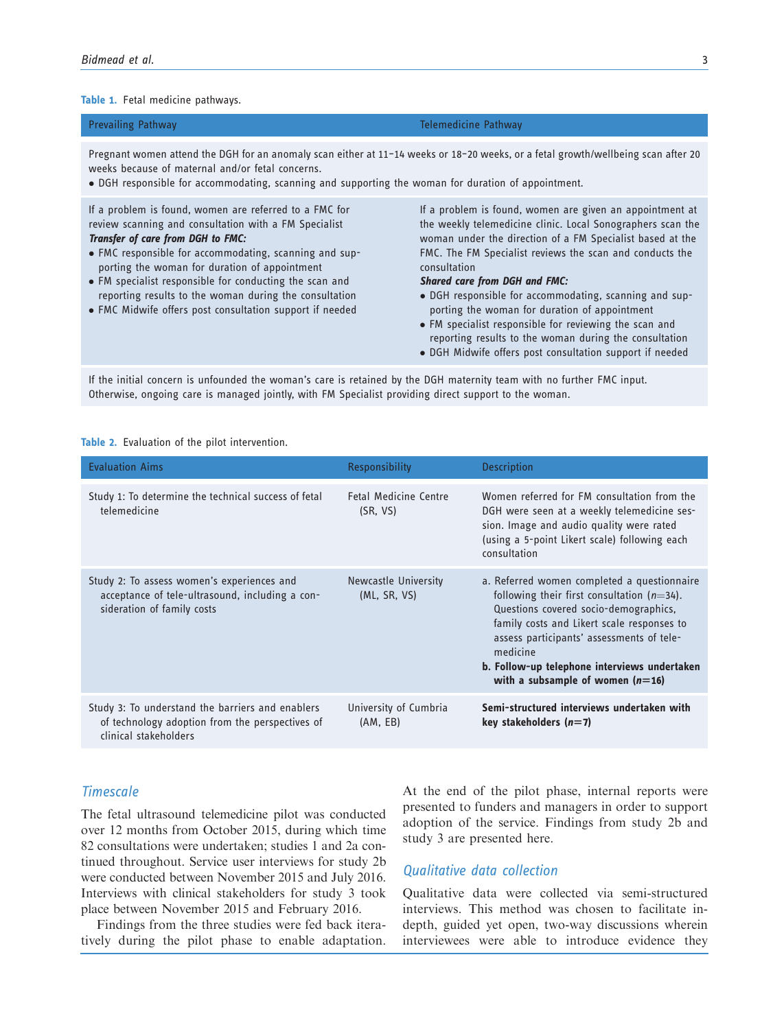#### Table 1. Fetal medicine pathways.

| <b>Prevailing Pathway</b> | Telemedicine Pathway |
|---------------------------|----------------------|
|---------------------------|----------------------|

Pregnant women attend the DGH for an anomaly scan either at 11–14 weeks or 18–20 weeks, or a fetal growth/wellbeing scan after 20 weeks because of maternal and/or fetal concerns.

DGH responsible for accommodating, scanning and supporting the woman for duration of appointment.

If a problem is found, women are referred to a FMC for review scanning and consultation with a FM Specialist Transfer of care from DGH to FMC:

- FMC responsible for accommodating, scanning and supporting the woman for duration of appointment
- FM specialist responsible for conducting the scan and reporting results to the woman during the consultation
- FMC Midwife offers post consultation support if needed

If a problem is found, women are given an appointment at the weekly telemedicine clinic. Local Sonographers scan the woman under the direction of a FM Specialist based at the FMC. The FM Specialist reviews the scan and conducts the consultation

#### Shared care from DGH and FMC:

- DGH responsible for accommodating, scanning and supporting the woman for duration of appointment
- FM specialist responsible for reviewing the scan and reporting results to the woman during the consultation
- DGH Midwife offers post consultation support if needed

If the initial concern is unfounded the woman's care is retained by the DGH maternity team with no further FMC input. Otherwise, ongoing care is managed jointly, with FM Specialist providing direct support to the woman.

Table 2. Evaluation of the pilot intervention.

| <b>Evaluation Aims</b>                                                                                                       | <b>Responsibility</b>                    | <b>Description</b>                                                                                                                                                                                                                                                                                                                 |
|------------------------------------------------------------------------------------------------------------------------------|------------------------------------------|------------------------------------------------------------------------------------------------------------------------------------------------------------------------------------------------------------------------------------------------------------------------------------------------------------------------------------|
| Study 1: To determine the technical success of fetal<br>telemedicine                                                         | <b>Fetal Medicine Centre</b><br>(SR, VS) | Women referred for FM consultation from the<br>DGH were seen at a weekly telemedicine ses-<br>sion. Image and audio quality were rated<br>(using a 5-point Likert scale) following each<br>consultation                                                                                                                            |
| Study 2: To assess women's experiences and<br>acceptance of tele-ultrasound, including a con-<br>sideration of family costs  | Newcastle University<br>(ML, SR, VS)     | a. Referred women completed a questionnaire<br>following their first consultation $(n=34)$ .<br>Questions covered socio-demographics,<br>family costs and Likert scale responses to<br>assess participants' assessments of tele-<br>medicine<br>b. Follow-up telephone interviews undertaken<br>with a subsample of women $(n=16)$ |
| Study 3: To understand the barriers and enablers<br>of technology adoption from the perspectives of<br>clinical stakeholders | University of Cumbria<br>(AM, EB)        | Semi-structured interviews undertaken with<br>key stakeholders $(n=7)$                                                                                                                                                                                                                                                             |

#### Timescale

The fetal ultrasound telemedicine pilot was conducted over 12 months from October 2015, during which time 82 consultations were undertaken; studies 1 and 2a continued throughout. Service user interviews for study 2b were conducted between November 2015 and July 2016. Interviews with clinical stakeholders for study 3 took place between November 2015 and February 2016.

Findings from the three studies were fed back iteratively during the pilot phase to enable adaptation.

At the end of the pilot phase, internal reports were presented to funders and managers in order to support adoption of the service. Findings from study 2b and study 3 are presented here.

#### Qualitative data collection

Qualitative data were collected via semi-structured interviews. This method was chosen to facilitate indepth, guided yet open, two-way discussions wherein interviewees were able to introduce evidence they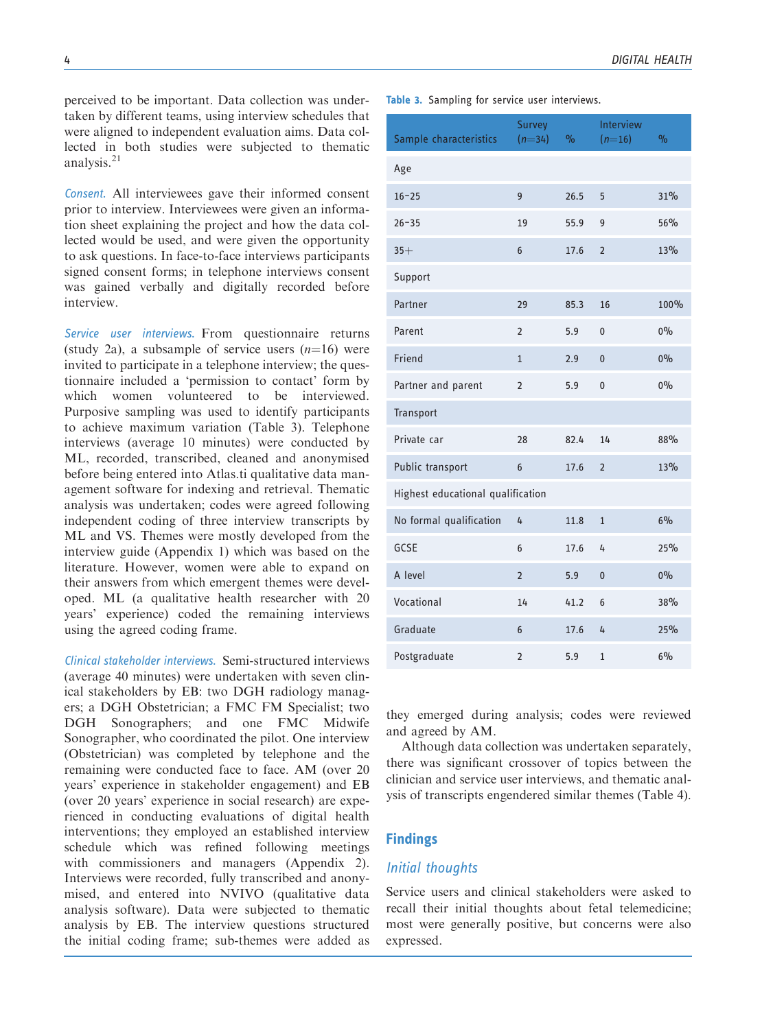perceived to be important. Data collection was undertaken by different teams, using interview schedules that were aligned to independent evaluation aims. Data collected in both studies were subjected to thematic analysis.<sup>21</sup>

Consent. All interviewees gave their informed consent prior to interview. Interviewees were given an information sheet explaining the project and how the data collected would be used, and were given the opportunity to ask questions. In face-to-face interviews participants signed consent forms; in telephone interviews consent was gained verbally and digitally recorded before interview.

Service user interviews. From questionnaire returns (study 2a), a subsample of service users  $(n=16)$  were invited to participate in a telephone interview; the questionnaire included a 'permission to contact' form by which women volunteered to be interviewed. Purposive sampling was used to identify participants to achieve maximum variation (Table 3). Telephone interviews (average 10 minutes) were conducted by ML, recorded, transcribed, cleaned and anonymised before being entered into Atlas.ti qualitative data management software for indexing and retrieval. Thematic analysis was undertaken; codes were agreed following independent coding of three interview transcripts by ML and VS. Themes were mostly developed from the interview guide (Appendix 1) which was based on the literature. However, women were able to expand on their answers from which emergent themes were developed. ML (a qualitative health researcher with 20 years' experience) coded the remaining interviews using the agreed coding frame.

Clinical stakeholder interviews. Semi-structured interviews (average 40 minutes) were undertaken with seven clinical stakeholders by EB: two DGH radiology managers; a DGH Obstetrician; a FMC FM Specialist; two DGH Sonographers; and one FMC Midwife Sonographer, who coordinated the pilot. One interview (Obstetrician) was completed by telephone and the remaining were conducted face to face. AM (over 20 years' experience in stakeholder engagement) and EB (over 20 years' experience in social research) are experienced in conducting evaluations of digital health interventions; they employed an established interview schedule which was refined following meetings with commissioners and managers (Appendix 2). Interviews were recorded, fully transcribed and anonymised, and entered into NVIVO (qualitative data analysis software). Data were subjected to thematic analysis by EB. The interview questions structured the initial coding frame; sub-themes were added as

|  | DIGITAL HEALTH |
|--|----------------|
|--|----------------|

Table 3. Sampling for service user interviews.

| Sample characteristics            | Survey<br>$(n=34)$ | $\frac{1}{2}$ | <b>Interview</b><br>$(n=16)$ | $\frac{1}{2}$ |  |
|-----------------------------------|--------------------|---------------|------------------------------|---------------|--|
| Age                               |                    |               |                              |               |  |
| $16 - 25$                         | 9                  | 26.5          | 5                            | 31%           |  |
| $26 - 35$                         | 19                 | 55.9          | 9                            | 56%           |  |
| $35+$                             | 6                  | 17.6          | $\overline{2}$               | 13%           |  |
| Support                           |                    |               |                              |               |  |
| Partner                           | 29                 | 85.3          | 16                           | 100%          |  |
| Parent                            | $\overline{2}$     | 5.9           | 0                            | $0\%$         |  |
| Friend                            | $\overline{1}$     | 2.9           | $\overline{0}$               | $0\%$         |  |
| Partner and parent                | $\overline{2}$     | 5.9           | 0                            | $0\%$         |  |
| Transport                         |                    |               |                              |               |  |
| Private car                       | 28                 | 82.4          | 14                           | 88%           |  |
| Public transport                  | 6                  | 17.6          | $\overline{2}$               | 13%           |  |
| Highest educational qualification |                    |               |                              |               |  |
| No formal qualification           | 4                  | 11.8          | $\mathbf{1}$                 | $6\%$         |  |
| GCSE                              | 6                  | 17.6          | 4                            | 25%           |  |
| A level                           | $\overline{2}$     | 5.9           | $\overline{0}$               | $0\%$         |  |
| Vocational                        | 14                 | 41.2          | 6                            | 38%           |  |
| Graduate                          | 6                  | 17.6          | 4                            | 25%           |  |
| Postgraduate                      | $\overline{2}$     | 5.9           | $\mathbf{1}$                 | 6%            |  |

they emerged during analysis; codes were reviewed and agreed by AM.

Although data collection was undertaken separately, there was significant crossover of topics between the clinician and service user interviews, and thematic analysis of transcripts engendered similar themes (Table 4).

## Findings

## Initial thoughts

Service users and clinical stakeholders were asked to recall their initial thoughts about fetal telemedicine; most were generally positive, but concerns were also expressed.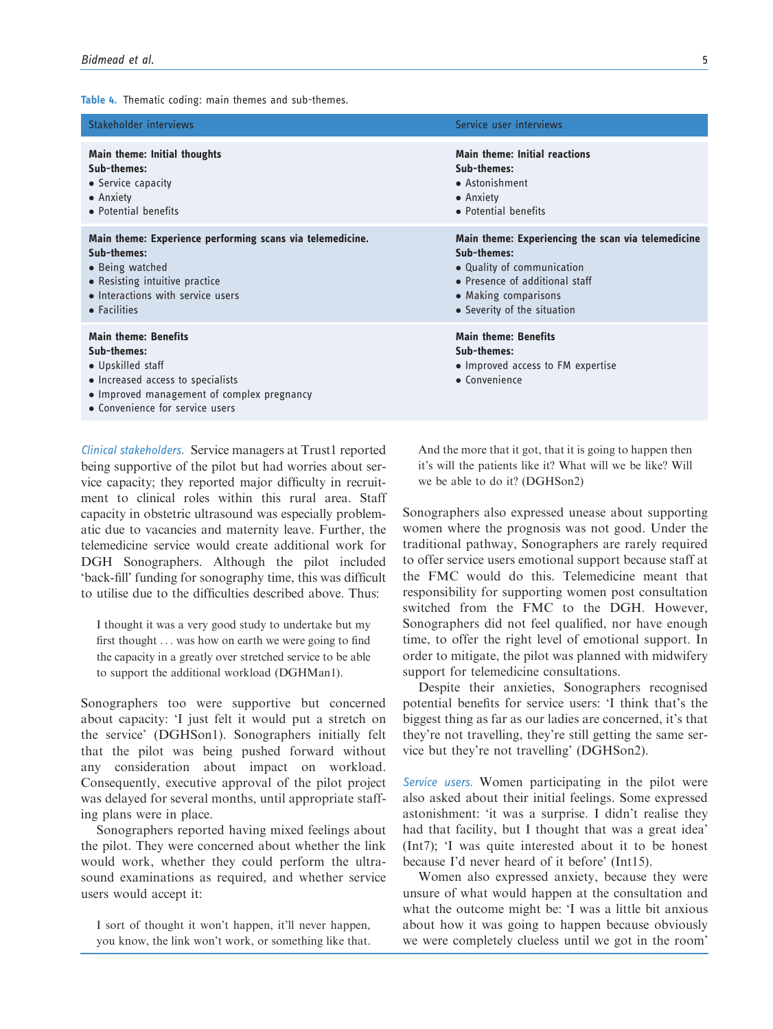Table 4. Thematic coding: main themes and sub-themes.

| Stakeholder interviews                                                                                                                                                                | Service user interviews                                                                                  |
|---------------------------------------------------------------------------------------------------------------------------------------------------------------------------------------|----------------------------------------------------------------------------------------------------------|
| <b>Main theme: Initial thoughts</b>                                                                                                                                                   | <b>Main theme: Initial reactions</b>                                                                     |
| Sub-themes:                                                                                                                                                                           | Sub-themes:                                                                                              |
| • Service capacity                                                                                                                                                                    | • Astonishment                                                                                           |
| • Anxiety                                                                                                                                                                             | • Anxiety                                                                                                |
| • Potential benefits                                                                                                                                                                  | • Potential benefits                                                                                     |
| Main theme: Experience performing scans via telemedicine.                                                                                                                             | Main theme: Experiencing the scan via telemedicine                                                       |
| Sub-themes:                                                                                                                                                                           | Sub-themes:                                                                                              |
| • Being watched                                                                                                                                                                       | • Quality of communication                                                                               |
| • Resisting intuitive practice                                                                                                                                                        | • Presence of additional staff                                                                           |
| • Interactions with service users                                                                                                                                                     | • Making comparisons                                                                                     |
| • Facilities                                                                                                                                                                          | • Severity of the situation                                                                              |
| <b>Main theme: Benefits</b><br>Sub-themes:<br>• Upskilled staff<br>• Increased access to specialists<br>• Improved management of complex pregnancy<br>• Convenience for service users | <b>Main theme: Benefits</b><br>Sub-themes:<br>• Improved access to FM expertise<br>$\bullet$ Convenience |

Clinical stakeholders. Service managers at Trust1 reported being supportive of the pilot but had worries about service capacity; they reported major difficulty in recruitment to clinical roles within this rural area. Staff capacity in obstetric ultrasound was especially problematic due to vacancies and maternity leave. Further, the telemedicine service would create additional work for DGH Sonographers. Although the pilot included 'back-fill' funding for sonography time, this was difficult to utilise due to the difficulties described above. Thus:

I thought it was a very good study to undertake but my first thought ... was how on earth we were going to find the capacity in a greatly over stretched service to be able to support the additional workload (DGHMan1).

Sonographers too were supportive but concerned about capacity: 'I just felt it would put a stretch on the service' (DGHSon1). Sonographers initially felt that the pilot was being pushed forward without any consideration about impact on workload. Consequently, executive approval of the pilot project was delayed for several months, until appropriate staffing plans were in place.

Sonographers reported having mixed feelings about the pilot. They were concerned about whether the link would work, whether they could perform the ultrasound examinations as required, and whether service users would accept it:

I sort of thought it won't happen, it'll never happen, you know, the link won't work, or something like that.

And the more that it got, that it is going to happen then it's will the patients like it? What will we be like? Will we be able to do it? (DGHSon2)

Sonographers also expressed unease about supporting women where the prognosis was not good. Under the traditional pathway, Sonographers are rarely required to offer service users emotional support because staff at the FMC would do this. Telemedicine meant that responsibility for supporting women post consultation switched from the FMC to the DGH. However, Sonographers did not feel qualified, nor have enough time, to offer the right level of emotional support. In order to mitigate, the pilot was planned with midwifery support for telemedicine consultations.

Despite their anxieties, Sonographers recognised potential benefits for service users: 'I think that's the biggest thing as far as our ladies are concerned, it's that they're not travelling, they're still getting the same service but they're not travelling' (DGHSon2).

Service users. Women participating in the pilot were also asked about their initial feelings. Some expressed astonishment: 'it was a surprise. I didn't realise they had that facility, but I thought that was a great idea' (Int7); 'I was quite interested about it to be honest because I'd never heard of it before' (Int15).

Women also expressed anxiety, because they were unsure of what would happen at the consultation and what the outcome might be: 'I was a little bit anxious about how it was going to happen because obviously we were completely clueless until we got in the room'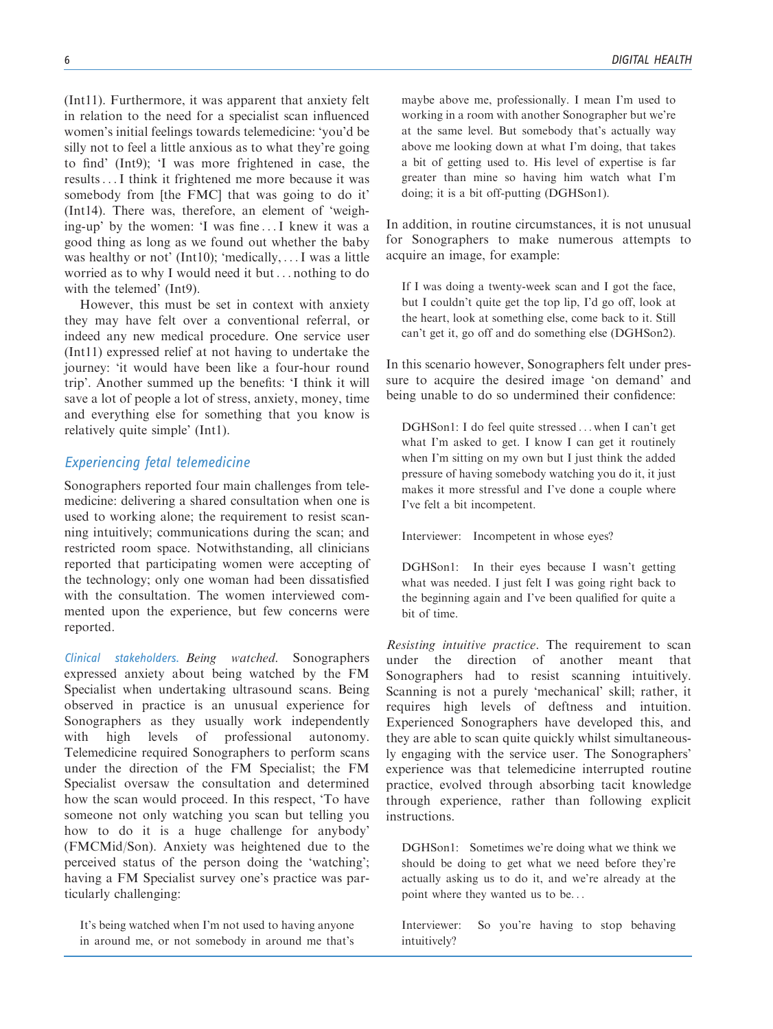(Int11). Furthermore, it was apparent that anxiety felt in relation to the need for a specialist scan influenced women's initial feelings towards telemedicine: 'you'd be silly not to feel a little anxious as to what they're going to find' (Int9); 'I was more frightened in case, the results...I think it frightened me more because it was somebody from [the FMC] that was going to do it' (Int14). There was, therefore, an element of 'weighing-up' by the women: 'I was fine ...I knew it was a good thing as long as we found out whether the baby was healthy or not' (Int10); 'medically, ...I was a little worried as to why I would need it but ... nothing to do with the telemed' (Int9).

However, this must be set in context with anxiety they may have felt over a conventional referral, or indeed any new medical procedure. One service user (Int11) expressed relief at not having to undertake the journey: 'it would have been like a four-hour round trip'. Another summed up the benefits: 'I think it will save a lot of people a lot of stress, anxiety, money, time and everything else for something that you know is relatively quite simple' (Int1).

### Experiencing fetal telemedicine

Sonographers reported four main challenges from telemedicine: delivering a shared consultation when one is used to working alone; the requirement to resist scanning intuitively; communications during the scan; and restricted room space. Notwithstanding, all clinicians reported that participating women were accepting of the technology; only one woman had been dissatisfied with the consultation. The women interviewed commented upon the experience, but few concerns were reported.

Clinical stakeholders. Being watched. Sonographers expressed anxiety about being watched by the FM Specialist when undertaking ultrasound scans. Being observed in practice is an unusual experience for Sonographers as they usually work independently with high levels of professional autonomy. Telemedicine required Sonographers to perform scans under the direction of the FM Specialist; the FM Specialist oversaw the consultation and determined how the scan would proceed. In this respect, 'To have someone not only watching you scan but telling you how to do it is a huge challenge for anybody' (FMCMid/Son). Anxiety was heightened due to the perceived status of the person doing the 'watching'; having a FM Specialist survey one's practice was particularly challenging:

It's being watched when I'm not used to having anyone in around me, or not somebody in around me that's maybe above me, professionally. I mean I'm used to working in a room with another Sonographer but we're at the same level. But somebody that's actually way above me looking down at what I'm doing, that takes a bit of getting used to. His level of expertise is far greater than mine so having him watch what I'm doing; it is a bit off-putting (DGHSon1).

In addition, in routine circumstances, it is not unusual for Sonographers to make numerous attempts to acquire an image, for example:

If I was doing a twenty-week scan and I got the face, but I couldn't quite get the top lip, I'd go off, look at the heart, look at something else, come back to it. Still can't get it, go off and do something else (DGHSon2).

In this scenario however, Sonographers felt under pressure to acquire the desired image 'on demand' and being unable to do so undermined their confidence:

DGHSon1: I do feel quite stressed ... when I can't get what I'm asked to get. I know I can get it routinely when I'm sitting on my own but I just think the added pressure of having somebody watching you do it, it just makes it more stressful and I've done a couple where I've felt a bit incompetent.

Interviewer: Incompetent in whose eyes?

DGHSon1: In their eyes because I wasn't getting what was needed. I just felt I was going right back to the beginning again and I've been qualified for quite a bit of time.

Resisting intuitive practice. The requirement to scan under the direction of another meant that Sonographers had to resist scanning intuitively. Scanning is not a purely 'mechanical' skill; rather, it requires high levels of deftness and intuition. Experienced Sonographers have developed this, and they are able to scan quite quickly whilst simultaneously engaging with the service user. The Sonographers' experience was that telemedicine interrupted routine practice, evolved through absorbing tacit knowledge through experience, rather than following explicit instructions.

DGHSon1: Sometimes we're doing what we think we should be doing to get what we need before they're actually asking us to do it, and we're already at the point where they wanted us to be...

Interviewer: So you're having to stop behaving intuitively?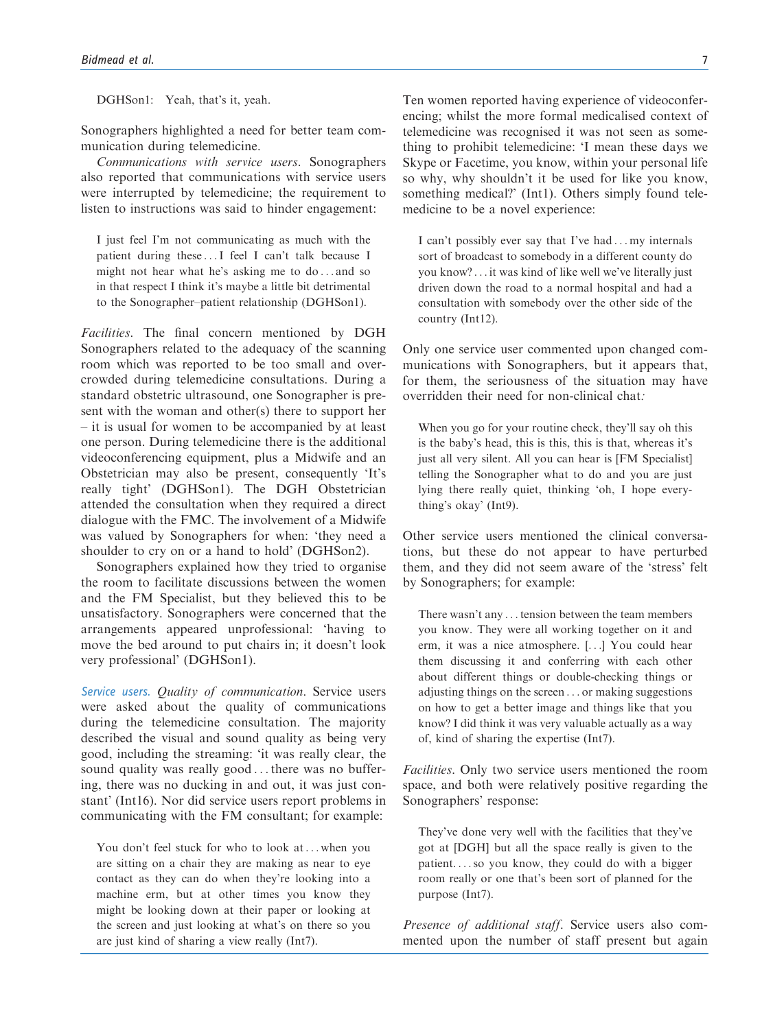DGHSon1: Yeah, that's it, yeah.

Sonographers highlighted a need for better team communication during telemedicine.

Communications with service users. Sonographers also reported that communications with service users were interrupted by telemedicine; the requirement to listen to instructions was said to hinder engagement:

I just feel I'm not communicating as much with the patient during these ...I feel I can't talk because I might not hear what he's asking me to do ... and so in that respect I think it's maybe a little bit detrimental to the Sonographer–patient relationship (DGHSon1).

Facilities. The final concern mentioned by DGH Sonographers related to the adequacy of the scanning room which was reported to be too small and overcrowded during telemedicine consultations. During a standard obstetric ultrasound, one Sonographer is present with the woman and other(s) there to support her – it is usual for women to be accompanied by at least one person. During telemedicine there is the additional videoconferencing equipment, plus a Midwife and an Obstetrician may also be present, consequently 'It's really tight' (DGHSon1). The DGH Obstetrician attended the consultation when they required a direct dialogue with the FMC. The involvement of a Midwife was valued by Sonographers for when: 'they need a shoulder to cry on or a hand to hold' (DGHSon2).

Sonographers explained how they tried to organise the room to facilitate discussions between the women and the FM Specialist, but they believed this to be unsatisfactory. Sonographers were concerned that the arrangements appeared unprofessional: 'having to move the bed around to put chairs in; it doesn't look very professional' (DGHSon1).

Service users. Quality of communication. Service users were asked about the quality of communications during the telemedicine consultation. The majority described the visual and sound quality as being very good, including the streaming: 'it was really clear, the sound quality was really good ... there was no buffering, there was no ducking in and out, it was just constant' (Int16). Nor did service users report problems in communicating with the FM consultant; for example:

You don't feel stuck for who to look at ... when you are sitting on a chair they are making as near to eye contact as they can do when they're looking into a machine erm, but at other times you know they might be looking down at their paper or looking at the screen and just looking at what's on there so you are just kind of sharing a view really (Int7).

Ten women reported having experience of videoconferencing; whilst the more formal medicalised context of telemedicine was recognised it was not seen as something to prohibit telemedicine: 'I mean these days we Skype or Facetime, you know, within your personal life so why, why shouldn't it be used for like you know, something medical?' (Int1). Others simply found telemedicine to be a novel experience:

I can't possibly ever say that I've had ... my internals sort of broadcast to somebody in a different county do you know?... it was kind of like well we've literally just driven down the road to a normal hospital and had a consultation with somebody over the other side of the country (Int12).

Only one service user commented upon changed communications with Sonographers, but it appears that, for them, the seriousness of the situation may have overridden their need for non-clinical chat:

When you go for your routine check, they'll say oh this is the baby's head, this is this, this is that, whereas it's just all very silent. All you can hear is [FM Specialist] telling the Sonographer what to do and you are just lying there really quiet, thinking 'oh, I hope everything's okay' (Int9).

Other service users mentioned the clinical conversations, but these do not appear to have perturbed them, and they did not seem aware of the 'stress' felt by Sonographers; for example:

There wasn't any ...tension between the team members you know. They were all working together on it and erm, it was a nice atmosphere. [...] You could hear them discussing it and conferring with each other about different things or double-checking things or adjusting things on the screen ... or making suggestions on how to get a better image and things like that you know? I did think it was very valuable actually as a way of, kind of sharing the expertise (Int7).

Facilities. Only two service users mentioned the room space, and both were relatively positive regarding the Sonographers' response:

They've done very well with the facilities that they've got at [DGH] but all the space really is given to the patient. ...so you know, they could do with a bigger room really or one that's been sort of planned for the purpose (Int7).

Presence of additional staff. Service users also commented upon the number of staff present but again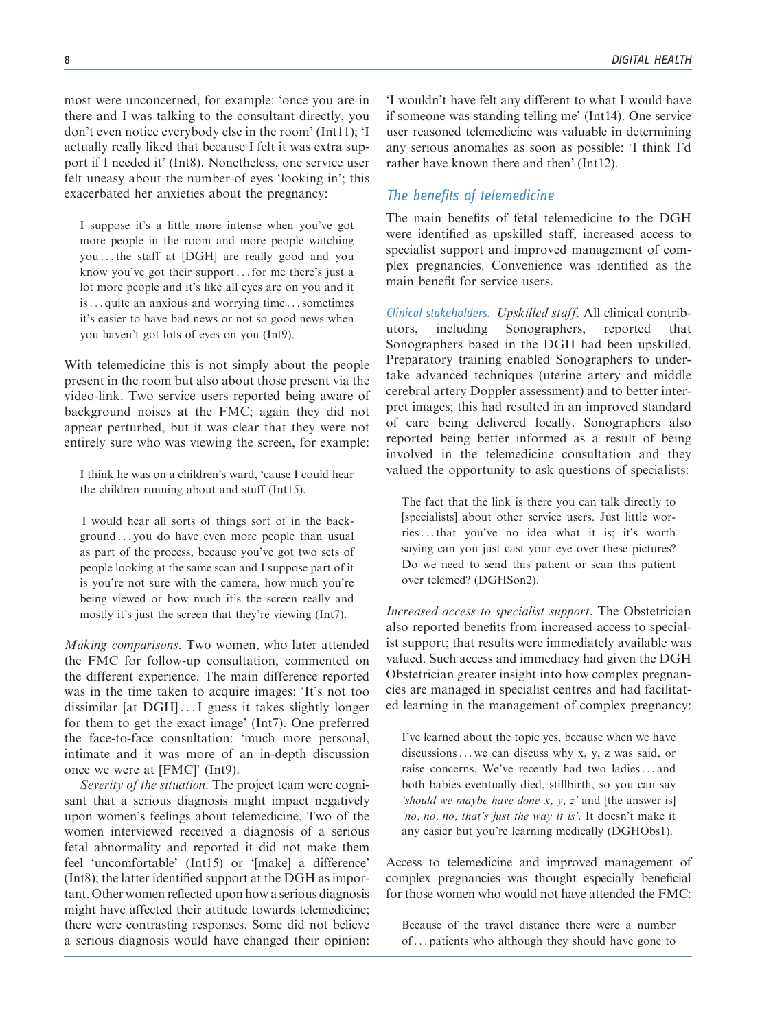most were unconcerned, for example: 'once you are in there and I was talking to the consultant directly, you don't even notice everybody else in the room' (Int11); 'I actually really liked that because I felt it was extra support if I needed it' (Int8). Nonetheless, one service user felt uneasy about the number of eyes 'looking in'; this exacerbated her anxieties about the pregnancy:

I suppose it's a little more intense when you've got more people in the room and more people watching you ... the staff at [DGH] are really good and you know you've got their support...for me there's just a lot more people and it's like all eyes are on you and it is... quite an anxious and worrying time ...sometimes it's easier to have bad news or not so good news when you haven't got lots of eyes on you (Int9).

With telemedicine this is not simply about the people present in the room but also about those present via the video-link. Two service users reported being aware of background noises at the FMC; again they did not appear perturbed, but it was clear that they were not entirely sure who was viewing the screen, for example:

I think he was on a children's ward, 'cause I could hear the children running about and stuff (Int15).

I would hear all sorts of things sort of in the background ... you do have even more people than usual as part of the process, because you've got two sets of people looking at the same scan and I suppose part of it is you're not sure with the camera, how much you're being viewed or how much it's the screen really and mostly it's just the screen that they're viewing (Int7).

Making comparisons. Two women, who later attended the FMC for follow-up consultation, commented on the different experience. The main difference reported was in the time taken to acquire images: 'It's not too dissimilar [at DGH] ...I guess it takes slightly longer for them to get the exact image' (Int7). One preferred the face-to-face consultation: 'much more personal, intimate and it was more of an in-depth discussion once we were at [FMC]' (Int9).

Severity of the situation. The project team were cognisant that a serious diagnosis might impact negatively upon women's feelings about telemedicine. Two of the women interviewed received a diagnosis of a serious fetal abnormality and reported it did not make them feel 'uncomfortable' (Int15) or '[make] a difference' (Int8); the latter identified support at the DGH as important. Other women reflected upon how a serious diagnosis might have affected their attitude towards telemedicine; there were contrasting responses. Some did not believe a serious diagnosis would have changed their opinion: 'I wouldn't have felt any different to what I would have if someone was standing telling me' (Int14). One service user reasoned telemedicine was valuable in determining any serious anomalies as soon as possible: 'I think I'd rather have known there and then' (Int12).

## The benefits of telemedicine

The main benefits of fetal telemedicine to the DGH were identified as upskilled staff, increased access to specialist support and improved management of complex pregnancies. Convenience was identified as the main benefit for service users.

Clinical stakeholders. Upskilled staff. All clinical contributors, including Sonographers, reported that Sonographers based in the DGH had been upskilled. Preparatory training enabled Sonographers to undertake advanced techniques (uterine artery and middle cerebral artery Doppler assessment) and to better interpret images; this had resulted in an improved standard of care being delivered locally. Sonographers also reported being better informed as a result of being involved in the telemedicine consultation and they valued the opportunity to ask questions of specialists:

The fact that the link is there you can talk directly to [specialists] about other service users. Just little worries...that you've no idea what it is; it's worth saying can you just cast your eye over these pictures? Do we need to send this patient or scan this patient over telemed? (DGHSon2).

Increased access to specialist support. The Obstetrician also reported benefits from increased access to specialist support; that results were immediately available was valued. Such access and immediacy had given the DGH Obstetrician greater insight into how complex pregnancies are managed in specialist centres and had facilitated learning in the management of complex pregnancy:

I've learned about the topic yes, because when we have discussions... we can discuss why x, y, z was said, or raise concerns. We've recently had two ladies... and both babies eventually died, stillbirth, so you can say 'should we maybe have done  $x$ ,  $y$ ,  $z$ ' and [the answer is] 'no, no, no, that's just the way it is'. It doesn't make it any easier but you're learning medically (DGHObs1).

Access to telemedicine and improved management of complex pregnancies was thought especially beneficial for those women who would not have attended the FMC:

Because of the travel distance there were a number of ... patients who although they should have gone to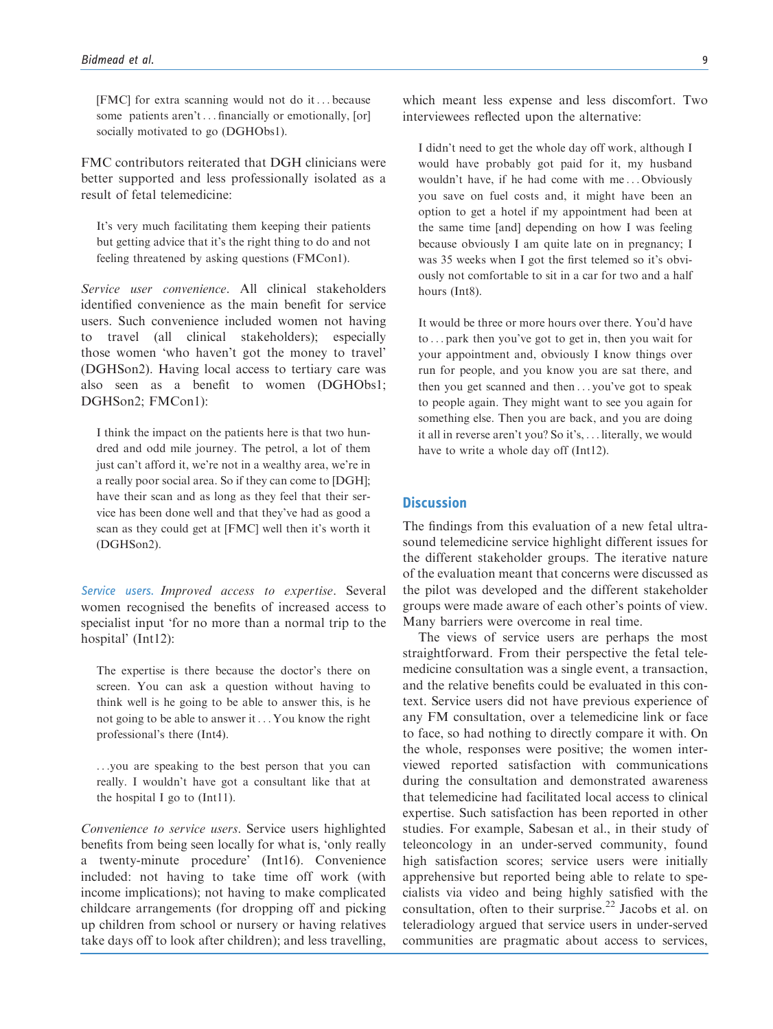[FMC] for extra scanning would not do it... because some patients aren't... financially or emotionally, [or] socially motivated to go (DGHObs1).

FMC contributors reiterated that DGH clinicians were better supported and less professionally isolated as a result of fetal telemedicine:

It's very much facilitating them keeping their patients but getting advice that it's the right thing to do and not feeling threatened by asking questions (FMCon1).

Service user convenience. All clinical stakeholders identified convenience as the main benefit for service users. Such convenience included women not having to travel (all clinical stakeholders); especially those women 'who haven't got the money to travel' (DGHSon2). Having local access to tertiary care was also seen as a benefit to women (DGHObs1; DGHSon2; FMCon1):

I think the impact on the patients here is that two hundred and odd mile journey. The petrol, a lot of them just can't afford it, we're not in a wealthy area, we're in a really poor social area. So if they can come to [DGH]; have their scan and as long as they feel that their service has been done well and that they've had as good a scan as they could get at [FMC] well then it's worth it (DGHSon2).

Service users. Improved access to expertise. Several women recognised the benefits of increased access to specialist input 'for no more than a normal trip to the hospital' (Int12):

The expertise is there because the doctor's there on screen. You can ask a question without having to think well is he going to be able to answer this, is he not going to be able to answer it... You know the right professional's there (Int4).

...you are speaking to the best person that you can really. I wouldn't have got a consultant like that at the hospital I go to (Int11).

Convenience to service users. Service users highlighted benefits from being seen locally for what is, 'only really a twenty-minute procedure' (Int16). Convenience included: not having to take time off work (with income implications); not having to make complicated childcare arrangements (for dropping off and picking up children from school or nursery or having relatives take days off to look after children); and less travelling, which meant less expense and less discomfort. Two interviewees reflected upon the alternative:

I didn't need to get the whole day off work, although I would have probably got paid for it, my husband wouldn't have, if he had come with me ... Obviously you save on fuel costs and, it might have been an option to get a hotel if my appointment had been at the same time [and] depending on how I was feeling because obviously I am quite late on in pregnancy; I was 35 weeks when I got the first telemed so it's obviously not comfortable to sit in a car for two and a half hours (Int8).

It would be three or more hours over there. You'd have to ... park then you've got to get in, then you wait for your appointment and, obviously I know things over run for people, and you know you are sat there, and then you get scanned and then ... you've got to speak to people again. They might want to see you again for something else. Then you are back, and you are doing it all in reverse aren't you? So it's, ... literally, we would have to write a whole day off (Int12).

# **Discussion**

The findings from this evaluation of a new fetal ultrasound telemedicine service highlight different issues for the different stakeholder groups. The iterative nature of the evaluation meant that concerns were discussed as the pilot was developed and the different stakeholder groups were made aware of each other's points of view. Many barriers were overcome in real time.

The views of service users are perhaps the most straightforward. From their perspective the fetal telemedicine consultation was a single event, a transaction, and the relative benefits could be evaluated in this context. Service users did not have previous experience of any FM consultation, over a telemedicine link or face to face, so had nothing to directly compare it with. On the whole, responses were positive; the women interviewed reported satisfaction with communications during the consultation and demonstrated awareness that telemedicine had facilitated local access to clinical expertise. Such satisfaction has been reported in other studies. For example, Sabesan et al., in their study of teleoncology in an under-served community, found high satisfaction scores; service users were initially apprehensive but reported being able to relate to specialists via video and being highly satisfied with the consultation, often to their surprise. $^{22}$  Jacobs et al. on teleradiology argued that service users in under-served communities are pragmatic about access to services,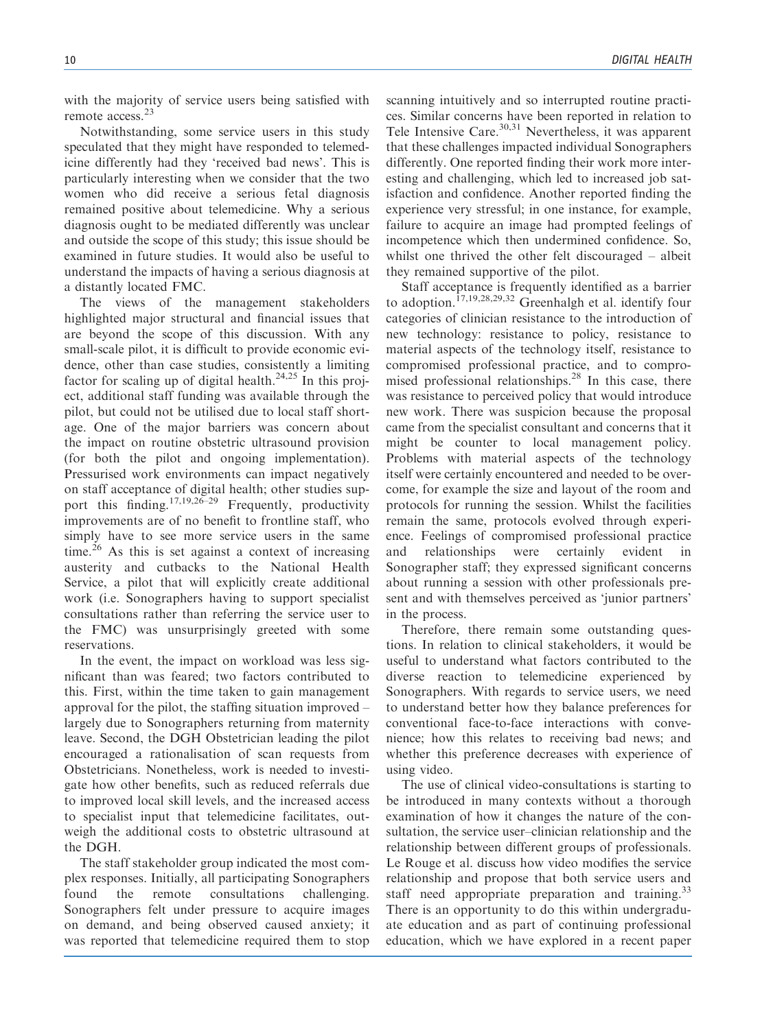with the majority of service users being satisfied with remote access.<sup>23</sup>

Notwithstanding, some service users in this study speculated that they might have responded to telemedicine differently had they 'received bad news'. This is particularly interesting when we consider that the two women who did receive a serious fetal diagnosis remained positive about telemedicine. Why a serious diagnosis ought to be mediated differently was unclear and outside the scope of this study; this issue should be examined in future studies. It would also be useful to understand the impacts of having a serious diagnosis at a distantly located FMC.

The views of the management stakeholders highlighted major structural and financial issues that are beyond the scope of this discussion. With any small-scale pilot, it is difficult to provide economic evidence, other than case studies, consistently a limiting factor for scaling up of digital health.<sup>24,25</sup> In this project, additional staff funding was available through the pilot, but could not be utilised due to local staff shortage. One of the major barriers was concern about the impact on routine obstetric ultrasound provision (for both the pilot and ongoing implementation). Pressurised work environments can impact negatively on staff acceptance of digital health; other studies support this finding.<sup>17,19,26–29</sup> Frequently, productivity improvements are of no benefit to frontline staff, who simply have to see more service users in the same time.<sup>26</sup> As this is set against a context of increasing austerity and cutbacks to the National Health Service, a pilot that will explicitly create additional work (i.e. Sonographers having to support specialist consultations rather than referring the service user to the FMC) was unsurprisingly greeted with some reservations.

In the event, the impact on workload was less significant than was feared; two factors contributed to this. First, within the time taken to gain management approval for the pilot, the staffing situation improved – largely due to Sonographers returning from maternity leave. Second, the DGH Obstetrician leading the pilot encouraged a rationalisation of scan requests from Obstetricians. Nonetheless, work is needed to investigate how other benefits, such as reduced referrals due to improved local skill levels, and the increased access to specialist input that telemedicine facilitates, outweigh the additional costs to obstetric ultrasound at the DGH.

The staff stakeholder group indicated the most complex responses. Initially, all participating Sonographers found the remote consultations challenging. Sonographers felt under pressure to acquire images on demand, and being observed caused anxiety; it was reported that telemedicine required them to stop

scanning intuitively and so interrupted routine practices. Similar concerns have been reported in relation to Tele Intensive Care.<sup>30,31</sup> Nevertheless, it was apparent that these challenges impacted individual Sonographers differently. One reported finding their work more interesting and challenging, which led to increased job satisfaction and confidence. Another reported finding the experience very stressful; in one instance, for example, failure to acquire an image had prompted feelings of incompetence which then undermined confidence. So, whilst one thrived the other felt discouraged – albeit they remained supportive of the pilot.

Staff acceptance is frequently identified as a barrier to adoption.<sup>17,19,28,29,32</sup> Greenhalgh et al. identify four categories of clinician resistance to the introduction of new technology: resistance to policy, resistance to material aspects of the technology itself, resistance to compromised professional practice, and to compromised professional relationships.<sup>28</sup> In this case, there was resistance to perceived policy that would introduce new work. There was suspicion because the proposal came from the specialist consultant and concerns that it might be counter to local management policy. Problems with material aspects of the technology itself were certainly encountered and needed to be overcome, for example the size and layout of the room and protocols for running the session. Whilst the facilities remain the same, protocols evolved through experience. Feelings of compromised professional practice and relationships were certainly evident Sonographer staff; they expressed significant concerns about running a session with other professionals present and with themselves perceived as 'junior partners' in the process.

Therefore, there remain some outstanding questions. In relation to clinical stakeholders, it would be useful to understand what factors contributed to the diverse reaction to telemedicine experienced by Sonographers. With regards to service users, we need to understand better how they balance preferences for conventional face-to-face interactions with convenience; how this relates to receiving bad news; and whether this preference decreases with experience of using video.

The use of clinical video-consultations is starting to be introduced in many contexts without a thorough examination of how it changes the nature of the consultation, the service user–clinician relationship and the relationship between different groups of professionals. Le Rouge et al. discuss how video modifies the service relationship and propose that both service users and staff need appropriate preparation and training.<sup>33</sup> There is an opportunity to do this within undergraduate education and as part of continuing professional education, which we have explored in a recent paper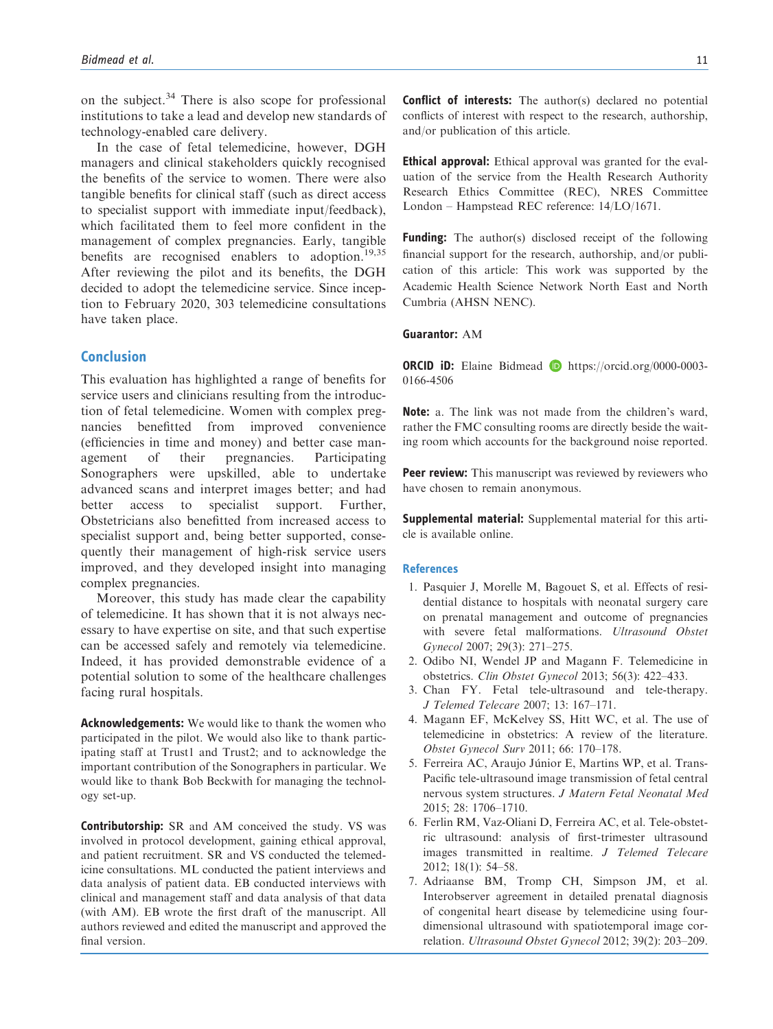on the subject.<sup>34</sup> There is also scope for professional institutions to take a lead and develop new standards of technology-enabled care delivery.

In the case of fetal telemedicine, however, DGH managers and clinical stakeholders quickly recognised the benefits of the service to women. There were also tangible benefits for clinical staff (such as direct access to specialist support with immediate input/feedback), which facilitated them to feel more confident in the management of complex pregnancies. Early, tangible benefits are recognised enablers to adoption.<sup>19,35</sup> After reviewing the pilot and its benefits, the DGH decided to adopt the telemedicine service. Since inception to February 2020, 303 telemedicine consultations have taken place.

## Conclusion

This evaluation has highlighted a range of benefits for service users and clinicians resulting from the introduction of fetal telemedicine. Women with complex pregnancies benefitted from improved convenience (efficiencies in time and money) and better case management of their pregnancies. Participating Sonographers were upskilled, able to undertake advanced scans and interpret images better; and had better access to specialist support. Further, Obstetricians also benefitted from increased access to specialist support and, being better supported, consequently their management of high-risk service users improved, and they developed insight into managing complex pregnancies.

Moreover, this study has made clear the capability of telemedicine. It has shown that it is not always necessary to have expertise on site, and that such expertise can be accessed safely and remotely via telemedicine. Indeed, it has provided demonstrable evidence of a potential solution to some of the healthcare challenges facing rural hospitals.

Acknowledgements: We would like to thank the women who participated in the pilot. We would also like to thank participating staff at Trust1 and Trust2; and to acknowledge the important contribution of the Sonographers in particular. We would like to thank Bob Beckwith for managing the technology set-up.

Contributorship: SR and AM conceived the study. VS was involved in protocol development, gaining ethical approval, and patient recruitment. SR and VS conducted the telemedicine consultations. ML conducted the patient interviews and data analysis of patient data. EB conducted interviews with clinical and management staff and data analysis of that data (with AM). EB wrote the first draft of the manuscript. All authors reviewed and edited the manuscript and approved the final version.

Conflict of interests: The author(s) declared no potential conflicts of interest with respect to the research, authorship, and/or publication of this article.

Ethical approval: Ethical approval was granted for the evaluation of the service from the Health Research Authority Research Ethics Committee (REC), NRES Committee London – Hampstead REC reference: 14/LO/1671.

**Funding:** The author(s) disclosed receipt of the following financial support for the research, authorship, and/or publication of this article: This work was supported by the Academic Health Science Network North East and North Cumbria (AHSN NENC).

## Guarantor: AM

ORCID iD: Elaine Bidmead D [https://orcid.org/0000-0003-](https://orcid.org/0000-0003-0166-4506) [0166-4506](https://orcid.org/0000-0003-0166-4506)

Note: a. The link was not made from the children's ward, rather the FMC consulting rooms are directly beside the waiting room which accounts for the background noise reported.

**Peer review:** This manuscript was reviewed by reviewers who have chosen to remain anonymous.

Supplemental material: Supplemental material for this article is available online.

#### **References**

- 1. Pasquier J, Morelle M, Bagouet S, et al. Effects of residential distance to hospitals with neonatal surgery care on prenatal management and outcome of pregnancies with severe fetal malformations. Ultrasound Obstet Gynecol 2007; 29(3): 271–275.
- 2. Odibo NI, Wendel JP and Magann F. Telemedicine in obstetrics. Clin Obstet Gynecol 2013; 56(3): 422–433.
- 3. Chan FY. Fetal tele-ultrasound and tele-therapy. J Telemed Telecare 2007; 13: 167–171.
- 4. Magann EF, McKelvey SS, Hitt WC, et al. The use of telemedicine in obstetrics: A review of the literature. Obstet Gynecol Surv 2011; 66: 170–178.
- 5. Ferreira AC, Araujo Júnior E, Martins WP, et al. Trans-Pacific tele-ultrasound image transmission of fetal central nervous system structures. J Matern Fetal Neonatal Med 2015; 28: 1706–1710.
- 6. Ferlin RM, Vaz-Oliani D, Ferreira AC, et al. Tele-obstetric ultrasound: analysis of first-trimester ultrasound images transmitted in realtime. J Telemed Telecare 2012; 18(1): 54–58.
- 7. Adriaanse BM, Tromp CH, Simpson JM, et al. Interobserver agreement in detailed prenatal diagnosis of congenital heart disease by telemedicine using fourdimensional ultrasound with spatiotemporal image correlation. Ultrasound Obstet Gynecol 2012; 39(2): 203–209.